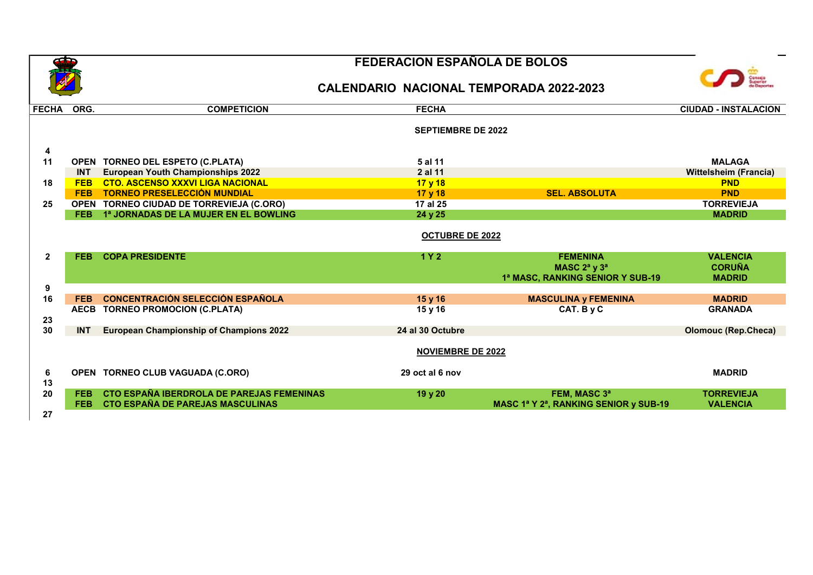

## FEDERACION ESPAÑOLA DE BOLOS





| <b>FECHA</b>   | ORG.       | <b>COMPETICION</b>                             | <b>FECHA</b>              |                                       | <b>CIUDAD - INSTALACION</b>  |
|----------------|------------|------------------------------------------------|---------------------------|---------------------------------------|------------------------------|
|                |            |                                                | <b>SEPTIEMBRE DE 2022</b> |                                       |                              |
| 4              |            |                                                |                           |                                       |                              |
| 11             |            | OPEN TORNEO DEL ESPETO (C.PLATA)               | 5 al 11                   |                                       | <b>MALAGA</b>                |
|                | <b>INT</b> | <b>European Youth Championships 2022</b>       | 2 al 11                   |                                       | <b>Wittelsheim (Francia)</b> |
| 18             | <b>FEB</b> | <b>CTO. ASCENSO XXXVI LIGA NACIONAL</b>        | 17 y 18                   |                                       | <b>PND</b>                   |
|                | <b>FEB</b> | <b>TORNEO PRESELECCIÓN MUNDIAL</b>             | 17 y 18                   | <b>SEL. ABSOLUTA</b>                  | <b>PND</b>                   |
| 25             |            | OPEN TORNEO CIUDAD DE TORREVIEJA (C.ORO)       | 17 al 25                  |                                       | <b>TORREVIEJA</b>            |
|                | FEB.       | 1ª JORNADAS DE LA MUJER EN EL BOWLING          | 24 y 25                   |                                       | <b>MADRID</b>                |
|                |            |                                                | <b>OCTUBRE DE 2022</b>    |                                       |                              |
| $\overline{2}$ | <b>FEB</b> | <b>COPA PRESIDENTE</b>                         | 1Y <sub>2</sub>           | <b>FEMENINA</b>                       | <b>VALENCIA</b>              |
|                |            |                                                |                           | MASC $2^a$ y $3^a$                    | <b>CORUÑA</b>                |
|                |            |                                                |                           | 1ª MASC, RANKING SENIOR Y SUB-19      | <b>MADRID</b>                |
| 9              |            |                                                |                           |                                       |                              |
| 16             | <b>FEB</b> | <b>CONCENTRACIÓN SELECCIÓN ESPAÑOLA</b>        | 15 y 16                   | <b>MASCULINA y FEMENINA</b>           | <b>MADRID</b>                |
|                |            | AECB TORNEO PROMOCION (C.PLATA)                | 15 y 16                   | CAT. By C                             | <b>GRANADA</b>               |
| 23             |            |                                                |                           |                                       |                              |
| 30             | <b>INT</b> | <b>European Championship of Champions 2022</b> | 24 al 30 Octubre          |                                       | <b>Olomouc (Rep.Checa)</b>   |
|                |            |                                                |                           |                                       |                              |
|                |            |                                                | <b>NOVIEMBRE DE 2022</b>  |                                       |                              |
| 6              |            | OPEN TORNEO CLUB VAGUADA (C.ORO)               | 29 oct al 6 nov           |                                       | <b>MADRID</b>                |
| 13             |            |                                                |                           |                                       |                              |
| 20             | <b>FEB</b> | CTO ESPAÑA IBERDROLA DE PAREJAS FEMENINAS      | 19 y 20                   | FEM, MASC 3ª                          | <b>TORREVIEJA</b>            |
|                | FEB.       | CTO ESPAÑA DE PAREJAS MASCULINAS               |                           | MASC 1ª Y 2ª, RANKING SENIOR y SUB-19 | <b>VALENCIA</b>              |
| 27             |            |                                                |                           |                                       |                              |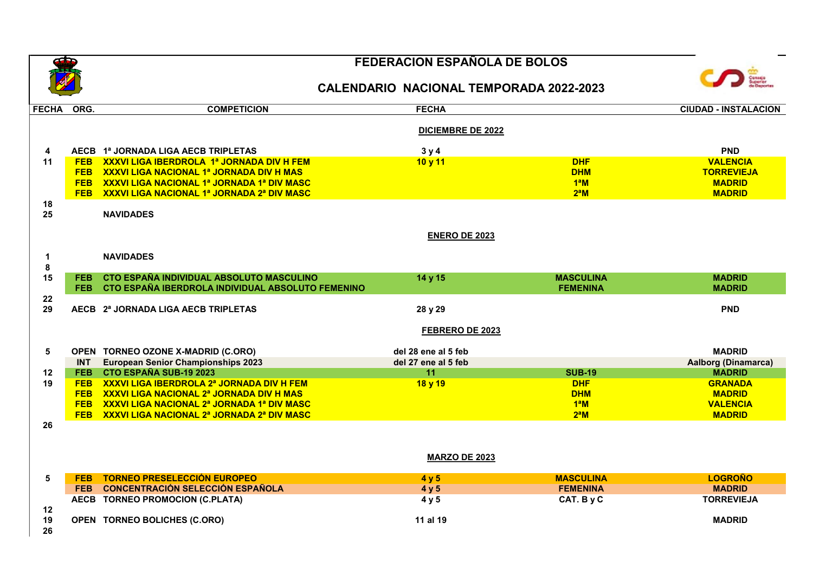26

## FEDERACION ESPAÑOLA DE BOLOS

## CALENDARIO NACIONAL TEMPORADA 2022-2023



| <b>FECHA</b> | ORG.       | <b>COMPETICION</b>                                    | <b>FECHA</b>             |                  | <b>CIUDAD - INSTALACION</b> |  |
|--------------|------------|-------------------------------------------------------|--------------------------|------------------|-----------------------------|--|
|              |            |                                                       | <b>DICIEMBRE DE 2022</b> |                  |                             |  |
| 4            |            | AECB 1ª JORNADA LIGA AECB TRIPLETAS                   | 3y4                      |                  | <b>PND</b>                  |  |
| 11           | <b>FEB</b> | <b>XXXVI LIGA IBERDROLA 1ª JORNADA DIV H FEM</b>      | 10 y 11                  | <b>DHF</b>       | <b>VALENCIA</b>             |  |
|              |            | FEB XXXVI LIGA NACIONAL 1ª JORNADA DIV H MAS          |                          | <b>DHM</b>       | <b>TORREVIEJA</b>           |  |
|              |            | FEB XXXVI LIGA NACIONAL 1ª JORNADA 1ª DIV MASC        |                          | 1 <sup>a</sup> M | <b>MADRID</b>               |  |
|              |            | FEB XXXVI LIGA NACIONAL 1ª JORNADA 2ª DIV MASC        |                          | $2^aM$           | <b>MADRID</b>               |  |
| 18           |            |                                                       |                          |                  |                             |  |
| 25           |            | <b>NAVIDADES</b>                                      |                          |                  |                             |  |
|              |            | <b>ENERO DE 2023</b>                                  |                          |                  |                             |  |
| 1<br>8       |            | <b>NAVIDADES</b>                                      |                          |                  |                             |  |
| 15           | FEB.       | CTO ESPAÑA INDIVIDUAL ABSOLUTO MASCULINO              | 14 y 15                  | <b>MASCULINA</b> | <b>MADRID</b>               |  |
|              |            | FEB CTO ESPAÑA IBERDROLA INDIVIDUAL ABSOLUTO FEMENINO |                          | <b>FEMENINA</b>  | <b>MADRID</b>               |  |
| 22           |            |                                                       |                          |                  |                             |  |
| 29           |            | AECB 2ª JORNADA LIGA AECB TRIPLETAS                   | 28 y 29                  |                  | <b>PND</b>                  |  |
|              |            |                                                       | FEBRERO DE 2023          |                  |                             |  |
| 5            |            | OPEN TORNEO OZONE X-MADRID (C.ORO)                    | del 28 ene al 5 feb      |                  | <b>MADRID</b>               |  |
|              | <b>INT</b> | <b>European Senior Championships 2023</b>             | del 27 ene al 5 feb      |                  | <b>Aalborg (Dinamarca)</b>  |  |
| 12           |            | FEB CTO ESPAÑA SUB-19 2023                            | 11                       | <b>SUB-19</b>    | <b>MADRID</b>               |  |
| 19           | <b>FEB</b> | <b>XXXVI LIGA IBERDROLA 2ª JORNADA DIV H FEM</b>      | 18 y 19                  | <b>DHF</b>       | <b>GRANADA</b>              |  |
|              |            | FEB XXXVI LIGA NACIONAL 2ª JORNADA DIV H MAS          |                          | <b>DHM</b>       | <b>MADRID</b>               |  |
|              |            | FEB XXXVI LIGA NACIONAL 2ª JORNADA 1ª DIV MASC        |                          | $1^a$ M          | <b>VALENCIA</b>             |  |
|              |            | FEB XXXVI LIGA NACIONAL 2ª JORNADA 2ª DIV MASC        |                          | $2^aM$           | <b>MADRID</b>               |  |
| 26           |            |                                                       |                          |                  |                             |  |
|              |            |                                                       |                          |                  |                             |  |
|              |            |                                                       | <b>MARZO DE 2023</b>     |                  |                             |  |
| 5            | <b>FEB</b> | <b>TORNEO PRESELECCIÓN EUROPEO</b>                    | 4 y 5                    | <b>MASCULINA</b> | <b>LOGROÑO</b>              |  |
|              |            | FEB CONCENTRACIÓN SELECCIÓN ESPAÑOLA                  | 4 y 5                    | <b>FEMENINA</b>  | <b>MADRID</b>               |  |
|              |            | AECB TORNEO PROMOCION (C.PLATA)                       | 4 y 5                    | CAT. By C        | <b>TORREVIEJA</b>           |  |
| 12           |            |                                                       |                          |                  |                             |  |
| 19           |            | OPEN TORNEO BOLICHES (C.ORO)                          | 11 al 19                 |                  | <b>MADRID</b>               |  |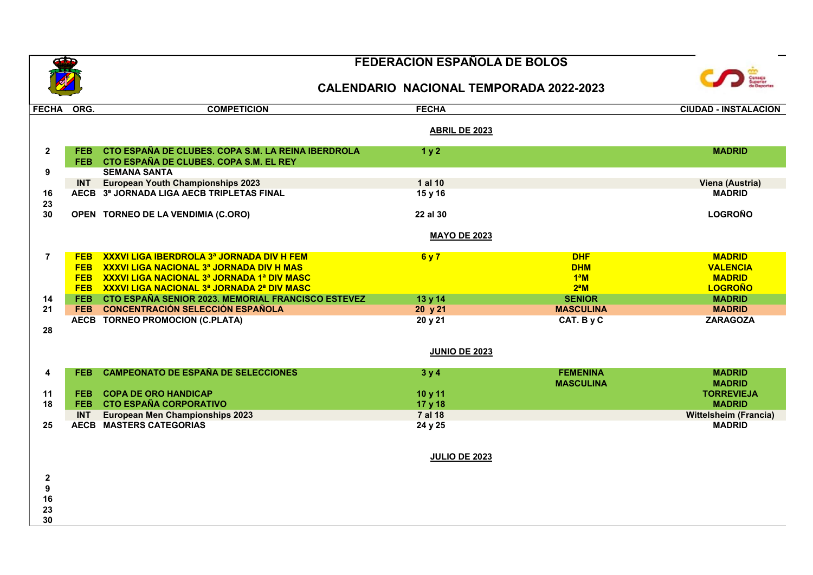30

## FEDERACION ESPAÑOLA DE BOLOS





| FECHA ORG.              |            | <b>COMPETICION</b>                                                                               | <b>FECHA</b>         |                  | <b>CIUDAD - INSTALACION</b>  |
|-------------------------|------------|--------------------------------------------------------------------------------------------------|----------------------|------------------|------------------------------|
|                         |            |                                                                                                  | ABRIL DE 2023        |                  |                              |
| $\mathbf{2}$            | <b>FEB</b> | CTO ESPAÑA DE CLUBES. COPA S.M. LA REINA IBERDROLA<br>FEB CTO ESPAÑA DE CLUBES. COPA S.M. EL REY | 1 <sub>y</sub> 2     |                  | <b>MADRID</b>                |
| 9                       |            | <b>SEMANA SANTA</b>                                                                              |                      |                  |                              |
|                         | <b>INT</b> | <b>European Youth Championships 2023</b>                                                         | 1 al 10              |                  | Viena (Austria)              |
| 16                      |            | AECB 3ª JORNADA LIGA AECB TRIPLETAS FINAL                                                        | 15 y 16              |                  | <b>MADRID</b>                |
| 23                      |            |                                                                                                  |                      |                  |                              |
| 30                      |            | OPEN TORNEO DE LA VENDIMIA (C.ORO)                                                               | 22 al 30             |                  | <b>LOGROÑO</b>               |
|                         |            |                                                                                                  | <b>MAYO DE 2023</b>  |                  |                              |
| $\overline{7}$          | <b>FEB</b> | XXXVI LIGA IBERDROLA 3ª JORNADA DIV H FEM                                                        | 6 y 7                | <b>DHF</b>       | <b>MADRID</b>                |
|                         | <b>FEB</b> | XXXVI LIGA NACIONAL 3ª JORNADA DIV H MAS                                                         |                      | <b>DHM</b>       | <b>VALENCIA</b>              |
|                         |            | FEB XXXVI LIGA NACIONAL 3ª JORNADA 1ª DIV MASC                                                   |                      | $1^a$ M          | <b>MADRID</b>                |
|                         |            | FEB XXXVI LIGA NACIONAL 3ª JORNADA 2ª DIV MASC                                                   |                      | $2^aM$           | <b>LOGROÑO</b>               |
| 14                      | <b>FEB</b> | <b>CTO ESPAÑA SENIOR 2023. MEMORIAL FRANCISCO ESTEVEZ</b>                                        | 13 y 14              | <b>SENIOR</b>    | <b>MADRID</b>                |
| 21                      | <b>FEB</b> | <b>CONCENTRACIÓN SELECCIÓN ESPAÑOLA</b>                                                          | 20 y 21              | <b>MASCULINA</b> | <b>MADRID</b>                |
|                         |            | AECB TORNEO PROMOCION (C.PLATA)                                                                  | 20 y 21              | CAT. By C        | <b>ZARAGOZA</b>              |
| 28                      |            |                                                                                                  |                      |                  |                              |
|                         |            |                                                                                                  | <b>JUNIO DE 2023</b> |                  |                              |
|                         |            |                                                                                                  |                      |                  |                              |
| $\overline{\mathbf{4}}$ | <b>FEB</b> | <b>CAMPEONATO DE ESPAÑA DE SELECCIONES</b>                                                       | 3y4                  | <b>FEMENINA</b>  | <b>MADRID</b>                |
|                         |            |                                                                                                  |                      | <b>MASCULINA</b> | <b>MADRID</b>                |
| 11                      | <b>FEB</b> | <b>COPA DE ORO HANDICAP</b>                                                                      | 10 y 11              |                  | <b>TORREVIEJA</b>            |
| 18                      | <b>FEB</b> | <b>CTO ESPAÑA CORPORATIVO</b>                                                                    | 17 y 18              |                  | <b>MADRID</b>                |
|                         | <b>INT</b> | <b>European Men Championships 2023</b>                                                           | 7 al 18              |                  | <b>Wittelsheim (Francia)</b> |
| 25                      |            | <b>AECB MASTERS CATEGORIAS</b>                                                                   | 24 y 25              |                  | <b>MADRID</b>                |
|                         |            |                                                                                                  |                      |                  |                              |
|                         |            |                                                                                                  | <b>JULIO DE 2023</b> |                  |                              |
| $\boldsymbol{2}$        |            |                                                                                                  |                      |                  |                              |
| $\boldsymbol{9}$        |            |                                                                                                  |                      |                  |                              |
| 16                      |            |                                                                                                  |                      |                  |                              |
| 23                      |            |                                                                                                  |                      |                  |                              |